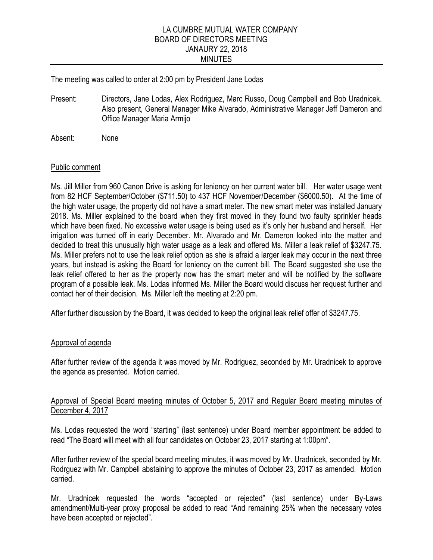#### LA CUMBRE MUTUAL WATER COMPANY BOARD OF DIRECTORS MEETING JANAURY 22, 2018 MINUTES

The meeting was called to order at 2:00 pm by President Jane Lodas

Present: Directors, Jane Lodas, Alex Rodriguez, Marc Russo, Doug Campbell and Bob Uradnicek. Also present, General Manager Mike Alvarado, Administrative Manager Jeff Dameron and Office Manager Maria Armijo

Absent: None

#### Public comment

Ms. Jill Miller from 960 Canon Drive is asking for leniency on her current water bill. Her water usage went from 82 HCF September/October (\$711.50) to 437 HCF November/December (\$6000.50). At the time of the high water usage, the property did not have a smart meter. The new smart meter was installed January 2018. Ms. Miller explained to the board when they first moved in they found two faulty sprinkler heads which have been fixed. No excessive water usage is being used as it's only her husband and herself. Her irrigation was turned off in early December. Mr. Alvarado and Mr. Dameron looked into the matter and decided to treat this unusually high water usage as a leak and offered Ms. Miller a leak relief of \$3247.75. Ms. Miller prefers not to use the leak relief option as she is afraid a larger leak may occur in the next three years, but instead is asking the Board for leniency on the current bill. The Board suggested she use the leak relief offered to her as the property now has the smart meter and will be notified by the software program of a possible leak. Ms. Lodas informed Ms. Miller the Board would discuss her request further and contact her of their decision. Ms. Miller left the meeting at 2:20 pm.

After further discussion by the Board, it was decided to keep the original leak relief offer of \$3247.75.

#### Approval of agenda

After further review of the agenda it was moved by Mr. Rodriguez, seconded by Mr. Uradnicek to approve the agenda as presented. Motion carried.

#### Approval of Special Board meeting minutes of October 5, 2017 and Regular Board meeting minutes of December 4, 2017

Ms. Lodas requested the word "starting" (last sentence) under Board member appointment be added to read "The Board will meet with all four candidates on October 23, 2017 starting at 1:00pm".

After further review of the special board meeting minutes, it was moved by Mr. Uradnicek, seconded by Mr. Rodrguez with Mr. Campbell abstaining to approve the minutes of October 23, 2017 as amended. Motion carried.

Mr. Uradnicek requested the words "accepted or rejected" (last sentence) under By-Laws amendment/Multi-year proxy proposal be added to read "And remaining 25% when the necessary votes have been accepted or rejected".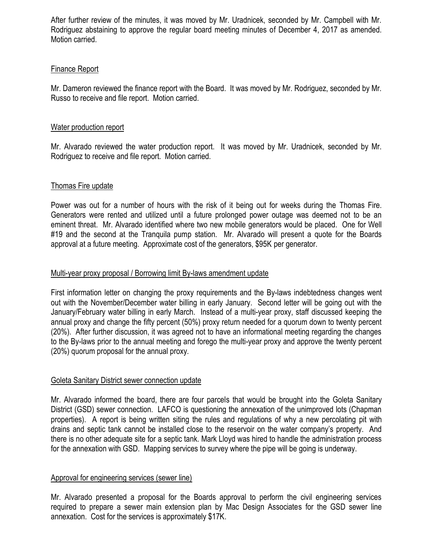After further review of the minutes, it was moved by Mr. Uradnicek, seconded by Mr. Campbell with Mr. Rodriguez abstaining to approve the regular board meeting minutes of December 4, 2017 as amended. Motion carried.

# Finance Report

Mr. Dameron reviewed the finance report with the Board. It was moved by Mr. Rodriguez, seconded by Mr. Russo to receive and file report. Motion carried.

### Water production report

Mr. Alvarado reviewed the water production report. It was moved by Mr. Uradnicek, seconded by Mr. Rodriguez to receive and file report. Motion carried.

## Thomas Fire update

Power was out for a number of hours with the risk of it being out for weeks during the Thomas Fire. Generators were rented and utilized until a future prolonged power outage was deemed not to be an eminent threat. Mr. Alvarado identified where two new mobile generators would be placed. One for Well #19 and the second at the Tranquila pump station. Mr. Alvarado will present a quote for the Boards approval at a future meeting. Approximate cost of the generators, \$95K per generator.

## Multi-year proxy proposal / Borrowing limit By-laws amendment update

First information letter on changing the proxy requirements and the By-laws indebtedness changes went out with the November/December water billing in early January. Second letter will be going out with the January/February water billing in early March. Instead of a multi-year proxy, staff discussed keeping the annual proxy and change the fifty percent (50%) proxy return needed for a quorum down to twenty percent (20%). After further discussion, it was agreed not to have an informational meeting regarding the changes to the By-laws prior to the annual meeting and forego the multi-year proxy and approve the twenty percent (20%) quorum proposal for the annual proxy.

# Goleta Sanitary District sewer connection update

Mr. Alvarado informed the board, there are four parcels that would be brought into the Goleta Sanitary District (GSD) sewer connection. LAFCO is questioning the annexation of the unimproved lots (Chapman properties). A report is being written siting the rules and regulations of why a new percolating pit with drains and septic tank cannot be installed close to the reservoir on the water company's property. And there is no other adequate site for a septic tank. Mark Lloyd was hired to handle the administration process for the annexation with GSD. Mapping services to survey where the pipe will be going is underway.

# Approval for engineering services (sewer line)

Mr. Alvarado presented a proposal for the Boards approval to perform the civil engineering services required to prepare a sewer main extension plan by Mac Design Associates for the GSD sewer line annexation. Cost for the services is approximately \$17K.